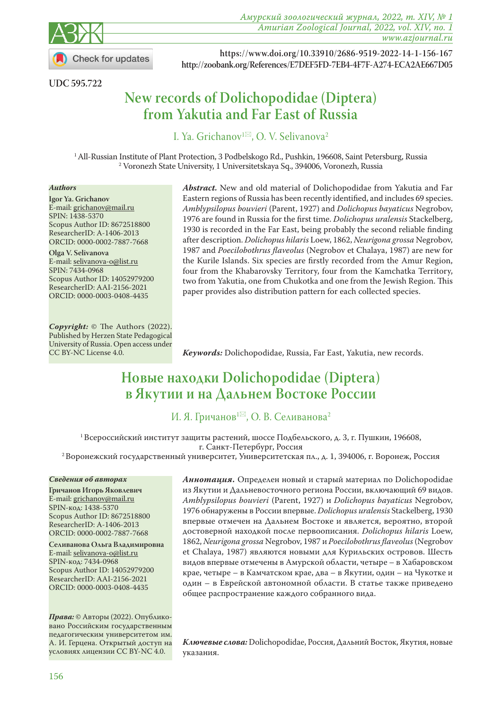

**Check for updates** 

*Амурский зоологический журнал, 2022, т. XIV, № 1 Amurian Zoological Journal, 2022, vol. XIV, no. 1 www.azjournal.ru*

**UDC 595.722** 

 **https://www.doi.org/10.33910/2686-9519-2022-14-1-156-167 http://zoobank.org/References/E7DEF5FD-7EB4-4F7F-A274-ECA2AE667D05**

# **New records of Dolichopodidae (Diptera) from Yakutia and Far East of Russia**

I. Ya. Grichanov<sup>1 $\boxtimes$ </sup>, O. V. Selivanova<sup>2</sup>

<sup>1</sup> All-Russian Institute of Plant Protection, 3 Podbelskogo Rd., Pushkin, 196608, Saint Petersburg, Russia <sup>2</sup> Voronezh State University, 1 Universitetskaya Sq., 394006, Voronezh, Russia

#### *Authors*

**Igor Ya. Grichanov** E-mail: grichanov@mail.ru SPIN: [1438-5370](https://www.elibrary.ru/author_profile.asp?id=83591) Scopus Author ID: [8672518800](https://www.scopus.com/authid/detail.uri?authorId=8672518800) ResearcherID: [A-1406-2013](https://publons.com/researcher/1560990/igor-grichanov/) ORCID: [0000-0002-7887-7668](https://orcid.org/0000-0002-7887-7668)

**Olga V. Selivanova** E-mail: selivanova-o@list.ru SPIN: [7434-0968](https://www.elibrary.ru/author_profile.asp?id=92007) Scopus Author ID: [14052979200](https://www.scopus.com/authid/detail.uri?authorId=14052979200) ResearcherID: [AAI-2156-2021](https://publons.com/researcher/4308358/olga-selivanova/) ORCID: [0000-0003-0408-4435](https://orcid.org/0000-0003-0408-4435)

*Copyright:* © The Authors (2022). Published by Herzen State Pedagogical University of Russia. Open access under CC BY-NC License 4.0.

*Abstract.* New and old material of Dolichopodidae from Yakutia and Far Eastern regions of Russia has been recently identified, and includes 69 species. *Amblypsilopus bouvieri* (Parent, 1927) and *Dolichopus bayaticus* Negrobov, 1976 are found in Russia for the first time. *Dolichopus uralensis* Stackelberg, 1930 is recorded in the Far East, being probably the second reliable finding after description. *Dolichopus hilaris* Loew, 1862, *Neurigona grossa* Negrobov, 1987 and *Poecilobothrus flaveolus* (Negrobov et Chalaya, 1987) are new for the Kurile Islands. Six species are firstly recorded from the Amur Region, four from the Khabarovsky Territory, four from the Kamchatka Territory, two from Yakutia, one from Chukotka and one from the Jewish Region. This paper provides also distribution pattern for each collected species.

*Keywords:* Dolichopodidae, Russia, Far East, Yakutia, new records.

# **Новые находки Dolichopodidae (Diptera) в Якутии и на Дальнем Востоке России**

# И. Я. Гричанов<sup>1⊠</sup>, О. В. Селиванова<sup>2</sup>

<sup>1</sup> Всероссийский институт защиты растений, шоссе Подбельского, д. 3, г. Пушкин, 196608,<br>г. Санкт-Петербург, Россия

<sup>2</sup> Воронежский государственный университет, Университетская пл., д. 1, 394006, г. Воронеж, Россия

#### *Сведения об авторах*

**Гричанов Игорь Яковлевич** E-mail: grichanov@mail.ru SPIN-код: [1438-5370](https://www.elibrary.ru/author_profile.asp?id=83591) Scopus Author ID: [8672518800](https://www.scopus.com/authid/detail.uri?authorId=8672518800) ResearcherID: [A-1406-2013](https://publons.com/researcher/1560990/igor-grichanov/) ORCID: [0000-0002-7887-7668](https://orcid.org/0000-0002-7887-7668)

**Cеливанова Ольга Владимировна** E-mail: selivanova-o@list.ru SPIN-код: [7434-0968](https://www.elibrary.ru/author_profile.asp?id=92007) Scopus Author ID: [14052979200](https://www.scopus.com/authid/detail.uri?authorId=14052979200) ResearcherID: [AAI-2156-2021](https://publons.com/researcher/4308358/olga-selivanova/) ORCID: [0000-0003-0408-4435](https://orcid.org/0000-0003-0408-4435)

*Права:* © Авторы (2022). Опубликовано Российским государственным педагогическим университетом им. А. И. Герцена. Открытый доступ на условиях лицензии CC BY-NC 4.0.

*Аннотация***.** Определен новый и старый материал по Dolichopodidae из Якутии и Дальневосточного региона России, включающий 69 видов. *Amblypsilopus bouvieri* (Parent, 1927) и *Dolichopus bayaticus* Negrobov, 1976 обнаружены в России впервые. *Dolichopus uralensis* Stackelberg, 1930 впервые отмечен на Дальнем Востоке и является, вероятно, второй достоверной находкой после первоописания. *Dolichopus hilaris* Loew, 1862, *Neurigona grossa* Negrobov, 1987 и *Poecilobothrus flaveolus* (Negrobov et Chalaya, 1987) являются новыми для Курильских островов. Шесть видов впервые отмечены в Амурской области, четыре – в Хабаровском крае, четыре – в Камчатском крае, два – в Якутии, один – на Чукотке и один – в Еврейской автономной области. В статье также приведено общее распространение каждого собранного вида.

*Ключевые слова:* Dolichopodidae, Россия, Дальний Восток, Якутия, новые указания.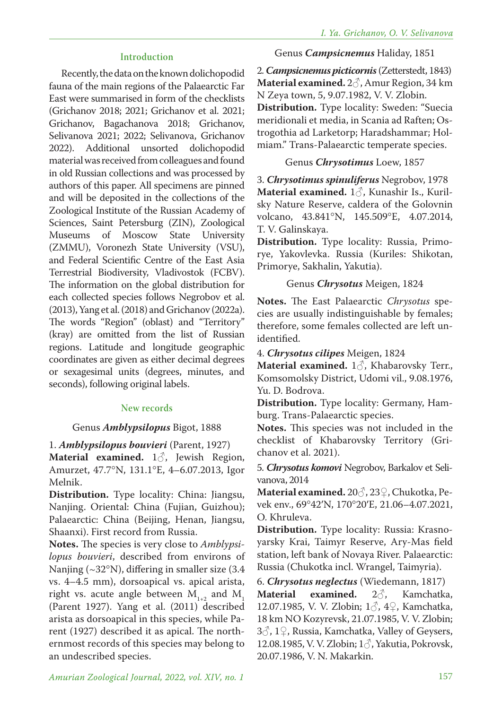#### **Introduction**

Recently, the data on the known dolichopodid fauna of the main regions of the Palaearctic Far East were summarised in form of the checklists (Grichanov 2018; 2021; Grichanov et al. 2021; Grichanov, Bagachanova 2018; Grichanov, Selivanova 2021; 2022; Selivanova, Grichanov 2022). Additional unsorted dolichopodid material was received from colleagues and found in old Russian collections and was processed by authors of this paper. All specimens are pinned and will be deposited in the collections of the Zoological Institute of the Russian Academy of Sciences, Saint Petersburg (ZIN), Zoological Museums of Moscow State University (ZMMU), Voronezh State University (VSU), and Federal Scientific Centre of the East Asia Terrestrial Biodiversity, Vladivostok (FCBV). The information on the global distribution for each collected species follows Negrobov et al. (2013), Yang et al. (2018) and Grichanov (2022a). The words "Region" (oblast) and "Territory" (kray) are omitted from the list of Russian regions. Latitude and longitude geographic coordinates are given as either decimal degrees or sexagesimal units (degrees, minutes, and seconds), following original labels.

#### **New records**

#### Genus *Amblypsilopus* Bigot, 1888

#### 1. *Amblypsilopus bouvieri* (Parent, 1927)

**Material examined.** 1♂, Jewish Region, Amurzet, 47.7°N, 131.1°E, 4–6.07.2013, Igor Melnik.

**Distribution.** Type locality: China: Jiangsu, Nanjing. Oriental: China (Fujian, Guizhou); Palaearctic: China (Beijing, Henan, Jiangsu, Shaanxi). First record from Russia.

**Notes.** The species is very close to *Amblypsilopus bouvieri*, described from environs of Nanjing (~32°N), differing in smaller size (3.4 vs. 4–4.5 mm), dorsoapical vs. apical arista, right vs. acute angle between  $M_{1+2}$  and  $M_{1}$ (Parent 1927). Yang et al. (2011) described arista as dorsoapical in this species, while Parent (1927) described it as apical. The northernmost records of this species may belong to an undescribed species.

#### Genus *Campsicnemus* Haliday, 1851

2.*Campsicnemus picticornis*(Zetterstedt, 1843) **Material examined.** 2♂, Amur Region, 34 km N Zeya town, 5, 9.07.1982, V. V. Zlobin. **Distribution.** Type locality: Sweden: "Suecia meridionali et media, in Scania ad Raften; Ostrogothia ad Larketorp; Haradshammar; Holmiam." Trans-Palaearctic temperate species.

#### Genus *Chrysotimus* Loew, 1857

3. *Chrysotimus spinuliferus* Negrobov, 1978 **Material examined.** 1♂, Kunashir Is., Kurilsky Nature Reserve, caldera of the Golovnin volcano, 43.841°N, 145.509°E, 4.07.2014, T. V. Galinskaya.

**Distribution.** Type locality: Russia, Primorye, Yakovlevka. Russia (Kuriles: Shikotan, Primorye, Sakhalin, Yakutia).

#### Genus *Chrysotus* Meigen, 1824

**Notes.** The East Palaearctic *Chrysotus* species are usually indistinguishable by females; therefore, some females collected are left unidentified.

4. *Chrysotus cilipes* Meigen, 1824

**Material examined.** 1♂, Khabarovsky Terr., Komsomolsky District, Udomi vil., 9.08.1976, Yu. D. Bodrova.

**Distribution.** Type locality: Germany, Hamburg. Trans-Palaearctic species.

**Notes.** This species was not included in the checklist of Khabarovsky Territory (Grichanov et al. 2021).

5. *Chrysotus komovi* Negrobov, Barkalov et Selivanova, 2014

**Material examined.** 20♂, 23♀, Chukotka, Pevek env., 69°42′N, 170°20′E, 21.06–4.07.2021, O. Khruleva.

**Distribution.** Type locality: Russia: Krasnoyarsky Krai, Taimyr Reserve, Ary-Mas field station, left bank of Novaya River. Palaearctic: Russia (Chukotka incl. Wrangel, Taimyria).

6. *Chrysotus neglectus* (Wiedemann, 1817)

**Material examined.** 2♂, Kamchatka, 12.07.1985, V. V. Zlobin;  $1\textdegree$ ,  $4\textdegree$ , Kamchatka, 18 km NO Kozyrevsk, 21.07.1985, V. V. Zlobin;  $3\textcircled{}$ , 1 $\textcircled{}$ , Russia, Kamchatka, Valley of Geysers, 12.08.1985, V. V. Zlobin; 1♂, Yakutia, Pokrovsk, 20.07.1986, V. N. Makarkin.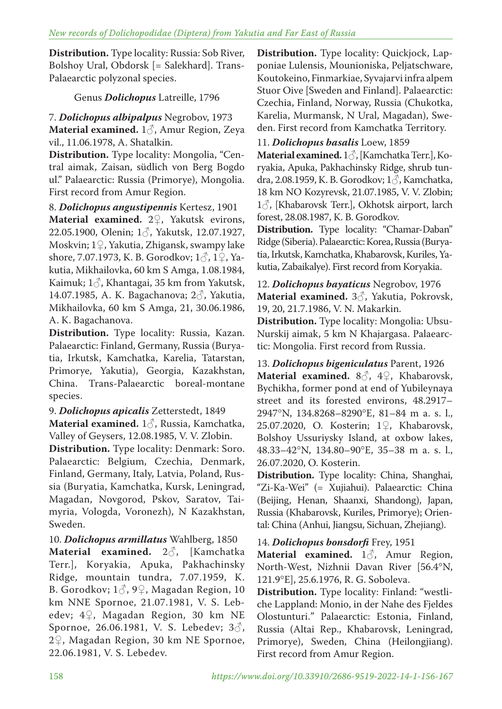**Distribution.** Type locality: Russia: Sob River, Bolshoy Ural, Obdorsk [= Salekhard]. Trans-Palaearctic polyzonal species.

Genus *Dolichopus* Latreille, 1796

7. *Dolichopus albipalpus* Negrobov, 1973 **Material examined.** 1♂, Amur Region, Zeya vil., 11.06.1978, A. Shatalkin.

**Distribution.** Type locality: Mongolia, "Central aimak, Zaisan, südlich von Berg Bogdo ul." Palaearctic: Russia (Primorye), Mongolia. First record from Amur Region.

8. *Dolichopus angustipennis* Kertesz, 1901 **Material examined.** 2♀, Yakutsk evirons, 22.05.1900, Olenin; 1♂, Yakutsk, 12.07.1927, Moskvin; 1♀, Yakutia, Zhigansk, swampy lake shore, 7.07.1973, K. B. Gorodkov;  $1\hat{O}$ ,  $1\hat{O}$ , Yakutia, Mikhailovka, 60 km S Amga, 1.08.1984, Kaimuk; 1♂, Khantagai, 35 km from Yakutsk, 14.07.1985, A. K. Bagachanova; 2♂, Yakutia, Mikhailovka, 60 km S Amga, 21, 30.06.1986, A. K. Bagachanova.

**Distribution.** Type locality: Russia, Kazan. Palaearctic: Finland, Germany, Russia (Buryatia, Irkutsk, Kamchatka, Karelia, Tatarstan, Primorye, Yakutia), Georgia, Kazakhstan, China. Trans-Palaearctic boreal-montane species.

# 9. *Dolichopus apicalis* Zetterstedt, 1849

**Material examined.** 1♂, Russia, Kamchatka, Valley of Geysers, 12.08.1985, V. V. Zlobin.

**Distribution.** Type locality: Denmark: Soro. Palaearctic: Belgium, Czechia, Denmark, Finland, Germany, Italy, Latvia, Poland, Russia (Buryatia, Kamchatka, Kursk, Leningrad, Magadan, Novgorod, Pskov, Saratov, Taimyria, Vologda, Voronezh), N Kazakhstan, Sweden.

10. *Dolichopus armillatus* Wahlberg, 1850

**Material examined.** 2♂, [Kamchatka Terr.], Koryakia, Apuka, Pakhachinsky Ridge, mountain tundra, 7.07.1959, K. B. Gorodkov;  $1\delta$ ,  $9\Omega$ , Magadan Region, 10 km NNE Spornoe, 21.07.1981, V. S. Lebedev; 4♀, Magadan Region, 30 km NE Spornoe, 26.06.1981, V. S. Lebedev; 3♂, 2♀, Magadan Region, 30 km NE Spornoe, 22.06.1981, V. S. Lebedev.

**Distribution.** Type locality: Quickjock, Lapponiae Lulensis, Mounioniska, Peljatschware, Koutokeino, Finmarkiae, Syvajarvi infra alpem Stuor Oive [Sweden and Finland]. Palaearctic: Czechia, Finland, Norway, Russia (Chukotka, Karelia, Murmansk, N Ural, Magadan), Sweden. First record from Kamchatka Territory.

# 11. *Dolichopus basalis* Loew, 1859

**Material examined.** 1♂, [Kamchatka Terr.], Koryakia, Apuka, Pakhachinsky Ridge, shrub tundra, 2.08.1959, K. B. Gorodkov;  $1\delta$ , Kamchatka, 18 km NO Kozyrevsk, 21.07.1985, V. V. Zlobin; 1♂, [Khabarovsk Terr.], Okhotsk airport, larch forest, 28.08.1987, K. B. Gorodkov.

**Distribution.** Type locality: "Chamar-Daban" Ridge (Siberia). Palaearctic: Korea, Russia (Buryatia, Irkutsk, Kamchatka, Khabarovsk, Kuriles, Yakutia, Zabaikalye). First record from Koryakia.

12. *Dolichopus bayaticus* Negrobov, 1976 **Material examined.** 3♂, Yakutia, Pokrovsk, 19, 20, 21.7.1986, V. N. Makarkin.

**Distribution.** Type locality: Mongolia: Ubsu-Nurskij aimak, 5 km N Khajargasa. Palaearctic: Mongolia. First record from Russia.

13. *Dolichopus bigeniculatus* Parent, 1926 **Material examined.** 8♂, 4♀, Khabarovsk, Bychikha, former pond at end of Yubileynaya street and its forested environs, 48.2917– 2947°N, 134.8268–8290°E, 81–84 m a. s. l., 25.07.2020, O. Kosterin; 1♀, Khabarovsk, Bolshoy Ussuriysky Island, at oxbow lakes, 48.33–42°N, 134.80–90°E, 35–38 m a. s. l., 26.07.2020, O. Kosterin.

**Distribution.** Type locality: China, Shanghai, "Zi-Ka-Wei" (= Xujiahui). Palaearctic: China (Beijing, Henan, Shaanxi, Shandong), Japan, Russia (Khabarovsk, Kuriles, Primorye); Oriental: China (Anhui, Jiangsu, Sichuan, Zhejiang).

# 14. *Dolichopus bonsdorfi* Frey, 1951

**Material examined.** 1♂, Amur Region, North-West, Nizhnii Davan River [56.4°N, 121.9°E], 25.6.1976, R. G. Soboleva.

**Distribution.** Type locality: Finland: "westliche Lappland: Monio, in der Nahe des Fjeldes Olostunturi." Palaearctic: Estonia, Finland, Russia (Altai Rep., Khabarovsk, Leningrad, Primorye), Sweden, China (Heilongjiang). First record from Amur Region.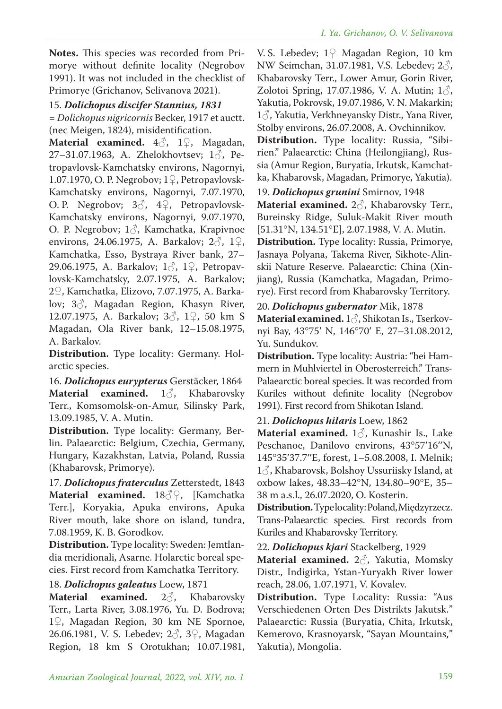**Notes.** This species was recorded from Primorye without definite locality (Negrobov 1991). It was not included in the checklist of Primorye (Grichanov, Selivanova 2021).

### 15. *Dolichopus discifer Stannius, 1831*

*= Dolichopus nigricornis* Becker, 1917 et auctt. (nec Meigen, 1824), misidentification.

**Material examined.** 4♂, 1♀, Magadan, 27–31.07.1963, A. Zhelokhovtsev;  $1\delta$ , Petropavlovsk-Kamchatsky environs, Nagornyi, 1.07.1970, O. P. Negrobov; 1♀, Petropavlovsk-Kamchatsky environs, Nagornyi, 7.07.1970, O. P. Negrobov;  $3\textcircled{3}$ ,  $4\textcircled{2}$ , Petropavlovsk-Kamchatsky environs, Nagornyi, 9.07.1970, O. P. Negrobov;  $1\delta$ , Kamchatka, Krapivnoe environs, 24.06.1975, A. Barkalov;  $2\textcircled{}$ ,  $1\textcircled{}$ , Kamchatka, Esso, Bystraya River bank, 27– 29.06.1975, A. Barkalov;  $1\textdegree$ ,  $1\textdegree$ , Petropavlovsk-Kamchatsky, 2.07.1975, A. Barkalov; 2♀, Kamchatka, Elizovo, 7.07.1975, A. Barkalov; 3♂, Magadan Region, Khasyn River, 12.07.1975, A. Barkalov; 3♂, 1♀, 50 km S Magadan, Ola River bank, 12–15.08.1975, A. Barkalov.

**Distribution.** Type locality: Germany. Holarctic species.

16. *Dolichopus eurypterus* Gerstäcker, 1864 **Material examined.** 1♂, Khabarovsky Terr., Komsomolsk-on-Amur, Silinsky Park, 13.09.1985, V. A. Mutin.

**Distribution.** Type locality: Germany, Berlin. Palaearctic: Belgium, Czechia, Germany, Hungary, Kazakhstan, Latvia, Poland, Russia (Khabarovsk, Primorye).

17. *Dolichopus fraterculus* Zetterstedt, 1843 **Material examined.** 18♂♀, [Kamchatka Terr.], Koryakia, Apuka environs, Apuka River mouth, lake shore on island, tundra, 7.08.1959, K. B. Gorodkov.

**Distribution.** Type locality: Sweden: Jemtlandia meridionali, Asarne. Holarctic boreal species. First record from Kamchatka Territory.

#### 18. *Dolichopus galeatus* Loew, 1871

**Material examined.** 2♂, Khabarovsky Terr., Larta River, 3.08.1976, Yu. D. Bodrova; 1♀, Magadan Region, 30 km NE Spornoe, 26.06.1981, V. S. Lebedev;  $2\textdegree$ ,  $3\textdegree$ , Magadan Region, 18 km S Orotukhan; 10.07.1981,

V. S. Lebedev; 1♀ Magadan Region, 10 km NW Seimchan, 31.07.1981, V.S. Lebedev; 2♂, Khabarovsky Terr., Lower Amur, Gorin River, Zolotoi Spring, 17.07.1986, V. A. Mutin;  $1\delta$ , Yakutia, Pokrovsk, 19.07.1986, V. N. Makarkin; 1♂, Yakutia, Verkhneyansky Distr., Yana River, Stolby environs, 26.07.2008, A. Ovchinnikov.

**Distribution.** Type locality: Russia, "Sibirien." Palaearctic: China (Heilongjiang), Russia (Amur Region, Buryatia, Irkutsk, Kamchatka, Khabarovsk, Magadan, Primorye, Yakutia).

#### 19. *Dolichopus grunini* Smirnov, 1948

**Material examined.** 2♂, Khabarovsky Terr., Bureinsky Ridge, Suluk-Makit River mouth [51.31°N, 134.51°E], 2.07.1988, V. A. Mutin.

**Distribution.** Type locality: Russia, Primorye, Jasnaya Polyana, Takema River, Sikhote-Alinskii Nature Reserve. Palaearctic: China (Xinjiang), Russia (Kamchatka, Magadan, Primorye). First record from Khabarovsky Territory.

#### 20. *Dolichopus gubernator* Mik, 1878

**Material examined.** 1♂, Shikotan Is., Tserkovnyi Bay, 43°75′ N, 146°70′ E, 27–31.08.2012, Yu. Sundukov.

**Distribution.** Type locality: Austria: "bei Hammern in Muhlviertel in Oberosterreich." Trans-Palaearctic boreal species. It was recorded from Kuriles without definite locality (Negrobov 1991). First record from Shikotan Island.

21. *Dolichopus hilaris* Loew, 1862

**Material examined.** 1♂, Kunashir Is., Lake Peschanoe, Danilovo environs, 43°57′16′′N, 145°35′37.7′′E, forest, 1–5.08.2008, I. Melnik;  $1\delta$ , Khabarovsk, Bolshoy Ussuriisky Island, at oxbow lakes, 48.33–42°N, 134.80–90°E, 35– 38 m a.s.l., 26.07.2020, O. Kosterin.

**Distribution.**Type locality: Poland, Międzyrzecz. Trans-Palaearctic species. First records from Kuriles and Khabarovsky Territory.

22. *Dolichopus kjari* Stackelberg, 1929

**Material examined.** 2♂, Yakutia, Momsky Distr., Indigirka, Ystan-Yuryakh River lower reach, 28.06, 1.07.1971, V. Kovalev.

**Distribution.** Type Locality: Russia: "Aus Verschiedenen Orten Des Distrikts Jakutsk." Palaearctic: Russia (Buryatia, Chita, Irkutsk, Kemerovo, Krasnoyarsk, "Sayan Mountains," Yakutia), Mongolia.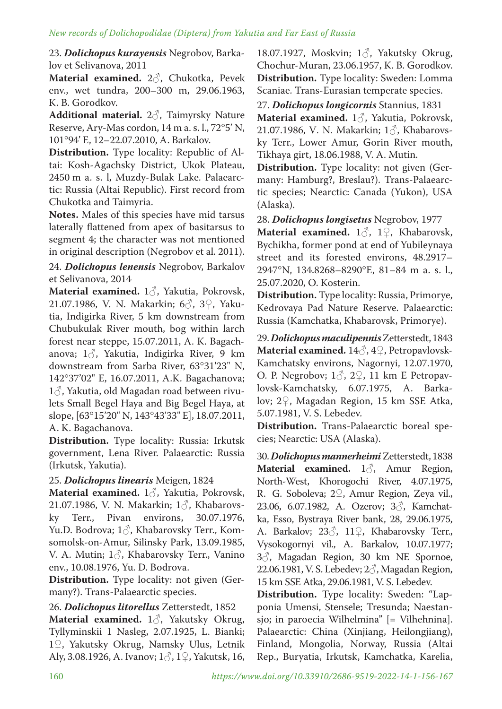23. *Dolichopus kurayensis* Negrobov, Barkalov et Selivanova, 2011

**Material examined.** 2♂, Chukotka, Pevek env., wet tundra, 200–300 m, 29.06.1963, K. B. Gorodkov.

**Additional material.** 2♂, Taimyrsky Nature Reserve, Ary-Mas сordon, 14 m a. s. l., 72°5' N, 101°94' E, 12–22.07.2010, A. Barkalov.

**Distribution.** Type locality: Republic of Altai: Kosh-Agachsky District, Ukok Plateau, 2450 m a. s. l, Muzdy-Bulak Lake. Palaearctic: Russia (Altai Republic). First record from Chukotka and Taimyria.

**Notes.** Males of this species have mid tarsus laterally flattened from apex of basitarsus to segment 4; the character was not mentioned in original description (Negrobov et al. 2011).

24. *Dolichopus lenensis* Negrobov, Barkalov et Selivanova, 2014

**Material examined.** 1♂, Yakutia, Pokrovsk, 21.07.1986, V. N. Makarkin; 6♂, 3♀, Yakutia, Indigirka River, 5 km downstream from Chubukulak River mouth, bog within larch forest near steppe, 15.07.2011, A. K. Bagachanova;  $1\delta$ , Yakutia, Indigirka River, 9 km downstream from Sarba River, 63°31'23" N, 142°37'02" E, 16.07.2011, A.K. Bagachanova;  $1\delta$ , Yakutia, old Magadan road between rivulets Small Begel Haya and Big Begel Haya, at slope, [63°15'20" N, 143°43'33" E], 18.07.2011, A. K. Bagachanova.

**Distribution.** Type locality: Russia: Irkutsk government, Lena River. Palaearctic: Russia (Irkutsk, Yakutia).

# 25. *Dolichopus linearis* Meigen, 1824

**Material examined.** 1♂, Yakutia, Pokrovsk, 21.07.1986, V. N. Makarkin;  $1\delta$ , Khabarovsky Terr., Pivan environs, 30.07.1976, Yu.D. Bodrova; 1♂, Khabarovsky Terr., Komsomolsk-on-Amur, Silinsky Park, 13.09.1985, V. A. Mutin;  $1\delta$ , Khabarovsky Terr., Vanino env., 10.08.1976, Yu. D. Bodrova.

**Distribution.** Type locality: not given (Germany?). Trans-Palaearctic species.

26. *Dolichopus litorellus* Zetterstedt, 1852

**Material examined.** 1♂, Yakutsky Okrug, Tyllyminskii 1 Nasleg, 2.07.1925, L. Bianki; 1♀, Yakutsky Okrug, Namsky Ulus, Letnik Aly, 3.08.1926, A. Ivanov;  $1\frac{3}{2}$ ,  $1\frac{1}{2}$ , Yakutsk, 16,

18.07.1927, Moskvin; 1♂, Yakutsky Okrug, Chochur-Muran, 23.06.1957, K. B. Gorodkov. **Distribution.** Type locality: Sweden: Lomma Scaniae. Trans-Eurasian temperate species.

27. *Dolichopus longicornis* Stannius, 1831 **Material examined.** 1♂, Yakutia, Pokrovsk, 21.07.1986, V. N. Makarkin; 1♂, Khabarovsky Terr., Lower Amur, Gorin River mouth, Tikhaya girt, 18.06.1988, V. A. Mutin.

**Distribution.** Type locality: not given (Germany: Hamburg?, Breslau?). Trans-Palaearctic species; Nearctic: Canada (Yukon), USA (Alaska).

28. *Dolichopus longisetus* Negrobov, 1977

**Material examined.** 1♂, 1♀, Khabarovsk, Bychikha, former pond at end of Yubileynaya street and its forested environs, 48.2917– 2947°N, 134.8268–8290°E, 81–84 m a. s. l., 25.07.2020, O. Kosterin.

**Distribution.** Type locality: Russia, Primorye, Kedrovaya Pad Nature Reserve. Palaearctic: Russia (Kamchatka, Khabarovsk, Primorye).

29. *Dolichopus maculipennis* Zetterstedt, 1843 **Material examined.** 14♂, 4♀, Petropavlovsk-Kamchatsky environs, Nagornyi, 12.07.1970, O. P. Negrobov;  $1\delta$ ,  $2\delta$ , 11 km E Petropavlovsk-Kamchatsky, 6.07.1975, A. Barkalov; 2♀, Magadan Region, 15 km SSE Atka, 5.07.1981, V. S. Lebedev.

**Distribution.** Trans-Palaearctic boreal species; Nearctic: USA (Alaska).

30. *Dolichopus mannerheimi*Zetterstedt, 1838 **Material examined.** 13, Amur Region, North-West, Khorogochi River, 4.07.1975, R. G. Soboleva; 2♀, Amur Region, Zeya vil., 23.06, 6.07.1982, A. Ozerov; 3♂, Kamchatka, Esso, Bystraya River bank, 28, 29.06.1975, A. Barkalov; 23♂, 11♀, Khabarovsky Terr., Vysokogornyi vil., A. Barkalov, 10.07.1977; 3♂, Magadan Region, 30 km NE Spornoe, 22.06.1981, V. S. Lebedev;  $2\textcircled{3}$ , Magadan Region, 15 km SSE Atka, 29.06.1981, V. S. Lebedev.

**Distribution.** Type locality: Sweden: "Lapponia Umensi, Stensele; Tresunda; Naestansjo; in paroecia Wilhelmina" [= Vilhehnina]. Palaearctic: China (Xinjiang, Heilongjiang), Finland, Mongolia, Norway, Russia (Altai Rep., Buryatia, Irkutsk, Kamchatka, Karelia,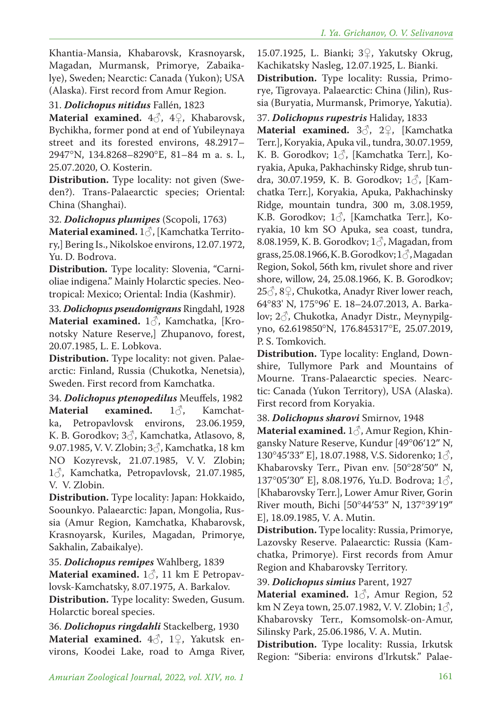Khantia-Mansia, Khabarovsk, Krasnoyarsk, Magadan, Murmansk, Primorye, Zabaikalye), Sweden; Nearctic: Canada (Yukon); USA (Alaska). First record from Amur Region.

## 31. *Dolichopus nitidus* Fallén, 1823

**Material examined.** 4♂, 4♀, Khabarovsk, Bychikha, former pond at end of Yubileynaya street and its forested environs, 48.2917– 2947°N, 134.8268–8290°E, 81–84 m a. s. l., 25.07.2020, O. Kosterin.

**Distribution.** Type locality: not given (Sweden?). Trans-Palaearctic species; Oriental: China (Shanghai).

32. *Dolichopus plumipes* (Scopoli, 1763)

**Material examined.** 1♂, [Kamchatka Territory,] Bering Is., Nikolskoe environs, 12.07.1972, Yu. D. Bodrova.

**Distribution.** Type locality: Slovenia, "Carnioliae indigena." Mainly Holarctic species. Neotropical: Mexico; Oriental: India (Kashmir).

33. *Dolichopus pseudomigrans* Ringdahl, 1928 **Material examined.** 1♂, Kamchatka, [Kronotsky Nature Reserve,] Zhupanovo, forest, 20.07.1985, L. E. Lobkova.

**Distribution.** Type locality: not given. Palaearctic: Finland, Russia (Chukotka, Nenetsia), Sweden. First record from Kamchatka.

34. *Dolichopus ptenopedilus* Meuffels, 1982 **Material examined.** 1 $\diamond$ , Kamchatka, Petropavlovsk environs, 23.06.1959, ka, Petropavlovsk environs, K. B. Gorodkov; 3♂, Kamchatka, Atlasovo, 8, 9.07.1985, V. V. Zlobin; 3♂, Kamchatka, 18 km NO Kozyrevsk, 21.07.1985, V. V. Zlobin; 1♂, Kamchatka, Petropavlovsk, 21.07.1985, V. V. Zlobin.

**Distribution.** Type locality: Japan: Hokkaido, Soounkyo. Palaearctic: Japan, Mongolia, Russia (Amur Region, Kamchatka, Khabarovsk, Krasnoyarsk, Kuriles, Magadan, Primorye, Sakhalin, Zabaikalye).

35. *Dolichopus remipes* Wahlberg, 1839 **Material examined.** 1♂, 11 km E Petropavlovsk-Kamchatsky, 8.07.1975, A. Barkalov.

**Distribution.** Type locality: Sweden, Gusum. Holarctic boreal species.

36. *Dolichopus ringdahli* Stackelberg, 1930 **Material examined.** 4♂, 1♀, Yakutsk environs, Koodei Lake, road to Amga River,

15.07.1925, L. Bianki; 3♀, Yakutsky Okrug, Kachikatsky Nasleg, 12.07.1925, L. Bianki.

**Distribution.** Type locality: Russia, Primorye, Tigrovaya. Palaearctic: China (Jilin), Russia (Buryatia, Murmansk, Primorye, Yakutia).

37. *Dolichopus rupestris* Haliday, 1833

**Material examined.** 3♂, 2♀, [Kamchatka Terr.], Koryakia, Apuka vil., tundra, 30.07.1959, K. B. Gorodkov; 13, [Kamchatka Terr.], Koryakia, Apuka, Pakhachinsky Ridge, shrub tundra, 30.07.1959, K. B. Gorodkov;  $1\delta$ , [Kamchatka Terr.], Koryakia, Apuka, Pakhachinsky Ridge, mountain tundra, 300 m, 3.08.1959, K.B. Gorodkov;  $1\delta$ , [Kamchatka Terr.], Koryakia, 10 km SO Apuka, sea coast, tundra, 8.08.1959, K. B. Gorodkov;  $1\delta$ , Magadan, from grass, 25.08.1966, K. B. Gorodkov;  $1\delta$ , Magadan Region, Sokol, 56th km, rivulet shore and river shore, willow, 24, 25.08.1966, K. B. Gorodkov;  $25\degree$ ,  $8\degree$ , Chukotka, Anadyr River lower reach, 64°83' N, 175°96' E. 18–24.07.2013, A. Barkalov; 2♂, Chukotka, Anadyr Distr., Meynypilgyno, 62.619850°N, 176.845317°E, 25.07.2019, P. S. Tomkovich.

**Distribution.** Type locality: England, Downshire, Tullymore Park and Mountains of Mourne. Trans-Palaearctic species. Nearctic: Canada (Yukon Territory), USA (Alaska). First record from Koryakia.

38. *Dolichopus sharovi* Smirnov, 1948

**Material examined.** 1♂, Amur Region, Khingansky Nature Reserve, Kundur [49°06′12″ N, 130°45′33″ E], 18.07.1988, V.S. Sidorenko; 1♂, Khabarovsky Terr., Pivan env. [50°28′50″ N, 137°05′30″ E], 8.08.1976, Yu.D. Bodrova;  $1\delta$ , [Khabarovsky Terr.], Lower Amur River, Gorin River mouth, Bichi [50°44′53″ N, 137°39′19″ E], 18.09.1985, V. A. Mutin.

**Distribution.** Type locality: Russia, Primorye, Lazovsky Reserve. Palaearctic: Russia (Kamchatka, Primorye). First records from Amur Region and Khabarovsky Territory.

39. *Dolichopus simius* Parent, 1927

**Material examined.** 1♂, Amur Region, 52 km N Zeya town, 25.07.1982, V. V. Zlobin;  $1\delta$ , Khabarovsky Terr., Komsomolsk-on-Amur, Silinsky Park, 25.06.1986, V. A. Mutin.

**Distribution.** Type locality: Russia, Irkutsk Region: "Siberia: environs d'Irkutsk." Palae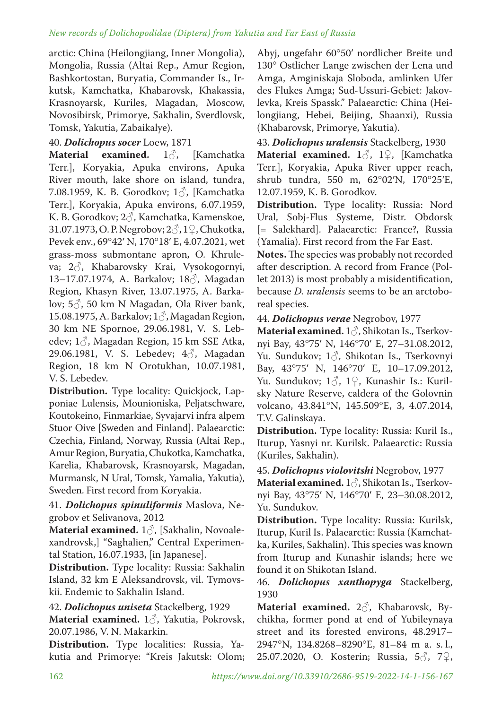arctic: China (Heilongjiang, Inner Mongolia), Mongolia, Russia (Altai Rep., Amur Region, Bashkortostan, Buryatia, Commander Is., Irkutsk, Kamchatka, Khabarovsk, Khakassia, Krasnoyarsk, Kuriles, Magadan, Moscow, Novosibirsk, Primorye, Sakhalin, Sverdlovsk, Tomsk, Yakutia, Zabaikalye).

40. *Dolichopus socer* Loew, 1871<br>Material examined. 1& **Material examined.** 1♂, [Kamchatka Terr.], Koryakia, Apuka environs, Apuka River mouth, lake shore on island, tundra, 7.08.1959, K. B. Gorodkov;  $1\delta$ , [Kamchatka Terr.], Koryakia, Apuka environs, 6.07.1959, K. B. Gorodkov; 2♂, Kamchatka, Kamenskoe, 31.07.1973, O. P. Negrobov; 2♂, 1♀, Chukotka, Pevek env., 69°42′ N, 170°18′ E, 4.07.2021, wet grass-moss submontane apron, O. Khruleva; 2♂, Khabarovsky Krai, Vysokogornyi, 13–17.07.1974, A. Barkalov; 18♂, Magadan Region, Khasyn River, 13.07.1975, A. Barkalov; 5♂, 50 km N Magadan, Ola River bank, 15.08.1975, A. Barkalov; 1♂, Magadan Region, 30 km NE Spornoe, 29.06.1981, V. S. Lebedev;  $1\delta$ , Magadan Region, 15 km SSE Atka, 29.06.1981, V. S. Lebedev; 4♂, Magadan Region, 18 km N Orotukhan, 10.07.1981, V. S. Lebedev.

**Distribution.** Type locality: Quickjock, Lapponiae Lulensis, Mounioniska, Peljatschware, Koutokeino, Finmarkiae, Syvajarvi infra alpem Stuor Oive [Sweden and Finland]. Palaearctic: Czechia, Finland, Norway, Russia (Altai Rep., Amur Region, Buryatia, Chukotka, Kamchatka, Karelia, Khabarovsk, Krasnoyarsk, Magadan, Murmansk, N Ural, Tomsk, Yamalia, Yakutia), Sweden. First record from Koryakia.

41. *Dolichopus spinuliformis* Maslova, Negrobov et Selivanova, 2012

**Material examined.** 1♂, [Sakhalin, Novoalexandrovsk,] "Saghalien," Central Experimental Station, 16.07.1933, [in Japanese].

**Distribution.** Type locality: Russia: Sakhalin Island, 32 km E Aleksandrovsk, vil. Tymovskii. Endemic to Sakhalin Island.

# 42. *Dolichopus uniseta* Stackelberg, 1929

**Material examined.** 1♂, Yakutia, Pokrovsk, 20.07.1986, V. N. Makarkin.

**Distribution.** Type localities: Russia, Yakutia and Primorye: "Kreis Jakutsk: Olom;

Abyj, ungefahr 60°50′ nordlicher Breite und 130° Ostlicher Lange zwischen der Lena und Amga, Amginiskaja Sloboda, amlinken Ufer des Flukes Amga; Sud-Ussuri-Gebiet: Jakovlevka, Kreis Spassk." Palaearctic: China (Heilongjiang, Hebei, Beijing, Shaanxi), Russia (Khabarovsk, Primorye, Yakutia).

43. *Dolichopus uralensis* Stackelberg, 1930 **Material examined. 1**♂, 1♀, [Kamchatka Terr.], Koryakia, Apuka River upper reach, shrub tundra, 550 m, 62°02′N, 170°25′E, 12.07.1959, K. B. Gorodkov.

**Distribution.** Type locality: Russia: Nord Ural, Sobj-Flus Systeme, Distr. Obdorsk [= Salekhard]. Palaearctic: France?, Russia (Yamalia). First record from the Far East.

**Notes.** The species was probably not recorded after description. A record from France (Pollet 2013) is most probably a misidentification, because *D. uralensis* seems to be an arctoboreal species.

44. *Dolichopus verae* Negrobov, 1977

**Material examined.** 1♂, Shikotan Is., Tserkovnyi Bay, 43°75′ N, 146°70′ E, 27–31.08.2012, Yu. Sundukov; 1♂, Shikotan Is., Tserkovnyi Bay, 43°75′ N, 146°70′ E, 10–17.09.2012, Yu. Sundukov;  $1\delta$ ,  $1\delta$ , Kunashir Is.: Kurilsky Nature Reserve, caldera of the Golovnin volcano, 43.841°N, 145.509°E, 3, 4.07.2014, T.V. Galinskaya.

**Distribution.** Type locality: Russia: Kuril Is., Iturup, Yasnyi nr. Kurilsk. Palaearctic: Russia (Kuriles, Sakhalin).

45. *Dolichopus violovitshi* Negrobov, 1977

**Material examined.** 1♂, Shikotan Is., Tserkovnyi Bay, 43°75′ N, 146°70′ E, 23–30.08.2012, Yu. Sundukov.

**Distribution.** Type locality: Russia: Kurilsk, Iturup, Kuril Is. Palaearctic: Russia (Kamchatka, Kuriles, Sakhalin). This species was known from Iturup and Kunashir islands; here we found it on Shikotan Island.

### 46. *Dolichopus xanthopyga* Stackelberg, 1930

**Material examined.** 2♂, Khabarovsk, Bychikha, former pond at end of Yubileynaya street and its forested environs, 48.2917– 2947°N, 134.8268–8290°E, 81–84 m a. s. l., 25.07.2020, O. Kosterin; Russia, 5♂, 7♀,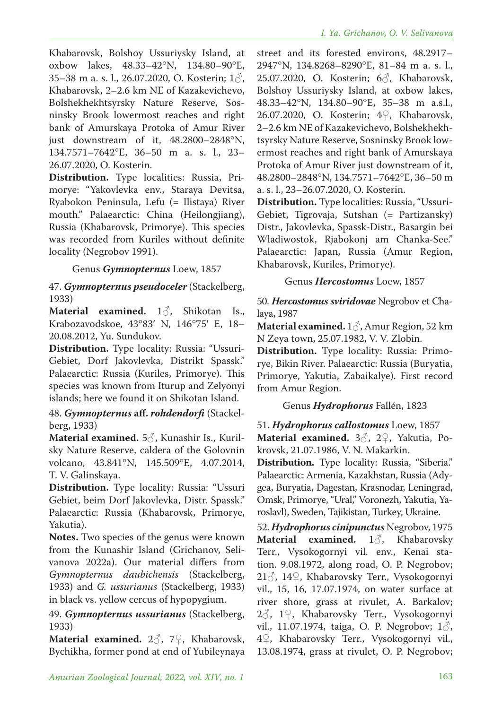Khabarovsk, Bolshoy Ussuriysky Island, at oxbow lakes, 48.33–42°N, 134.80–90°E, 35–38 m a. s. l., 26.07.2020, O. Kosterin;  $1\delta$ , Khabarovsk, 2–2.6 km NE of Kazakevichevo, Bolshekhekhtsyrsky Nature Reserve, Sosninsky Brook lowermost reaches and right bank of Amurskaya Protoka of Amur River just downstream of it, 48.2800–2848°N, 134.7571–7642°E, 36–50 m a. s. l., 23– 26.07.2020, O. Kosterin.

**Distribution.** Type localities: Russia, Primorye: "Yakovlevka env., Staraya Devitsa, Ryabokon Peninsula, Lefu (= Ilistaya) River mouth." Palaearctic: China (Heilongjiang), Russia (Khabarovsk, Primorye). This species was recorded from Kuriles without definite locality (Negrobov 1991).

### Genus *Gymnopternus* Loew, 1857

### 47. *Gymnopternus pseudoceler* (Stackelberg, 1933)

**Material examined.** 1♂, Shikotan Is., Krabozavodskoe, 43°83′ N, 146°75′ E, 18– 20.08.2012, Yu. Sundukov.

**Distribution.** Type locality: Russia: "Ussuri-Gebiet, Dorf Jakovlevka, Distrikt Spassk." Palaearctic: Russia (Kuriles, Primorye). This species was known from Iturup and Zelyonyi islands; here we found it on Shikotan Island.

### 48. *Gymnopternus* **aff.** *rohdendorfi* (Stackelberg, 1933)

**Material examined.** 5♂, Kunashir Is., Kurilsky Nature Reserve, caldera of the Golovnin volcano, 43.841°N, 145.509°E, 4.07.2014, T. V. Galinskaya.

**Distribution.** Type locality: Russia: "Ussuri Gebiet, beim Dorf Jakovlevka, Distr. Spassk." Palaearctic: Russia (Khabarovsk, Primorye, Yakutia).

**Notes.** Two species of the genus were known from the Kunashir Island (Grichanov, Selivanova 2022a). Our material differs from *Gymnopternus daubichensis* (Stackelberg, 1933) and *G. ussurianus* (Stackelberg, 1933) in black vs. yellow cercus of hypopygium.

49. *Gymnopternus ussurianus* (Stackelberg, 1933)

**Material examined.** 2♂, 7♀, Khabarovsk, Bychikha, former pond at end of Yubileynaya street and its forested environs, 48.2917– 2947°N, 134.8268–8290°E, 81–84 m a. s. l., 25.07.2020, O. Kosterin; 6♂, Khabarovsk, Bolshoy Ussuriysky Island, at oxbow lakes, 48.33–42°N, 134.80–90°E, 35–38 m a.s.l., 26.07.2020, O. Kosterin; 4♀, Khabarovsk, 2–2.6 km NE of Kazakevichevo, Bolshekhekhtsyrsky Nature Reserve, Sosninsky Brook lowermost reaches and right bank of Amurskaya Protoka of Amur River just downstream of it, 48.2800–2848°N, 134.7571–7642°E, 36–50 m a. s. l., 23–26.07.2020, O. Kosterin.

**Distribution.** Type localities: Russia, "Ussuri-Gebiet, Tigrovaja, Sutshan (= Partizansky) Distr., Jakovlevka, Spassk-Distr., Basargin bei Wladiwostok, Rjabokonj am Chanka-See." Palaearctic: Japan, Russia (Amur Region, Khabarovsk, Kuriles, Primorye).

Genus *Hercostomus* Loew, 1857

50. *Hercostomus sviridovae* Negrobov et Chalaya, 1987

**Material examined.** 1♂, Amur Region, 52 km N Zeya town, 25.07.1982, V. V. Zlobin.

**Distribution.** Type locality: Russia: Primorye, Bikin River. Palaearctic: Russia (Buryatia, Primorye, Yakutia, Zabaikalye). First record from Amur Region.

# Genus *Hydrophorus* Fallén, 1823

# 51. *Hydrophorus callostomus* Loew, 1857

**Material examined.** 3♂, 2♀, Yakutia, Pokrovsk, 21.07.1986, V. N. Makarkin.

**Distribution.** Type locality: Russia, "Siberia." Palaearctic: Armenia, Kazakhstan, Russia (Adygea, Buryatia, Dagestan, Krasnodar, Leningrad, Omsk, Primorye, "Ural," Voronezh, Yakutia, Yaroslavl), Sweden, Tajikistan, Turkey, Ukraine.

52. *Hydrophorus cinipunctus* Negrobov, 1975 **Material examined.** 1♂, Khabarovsky Terr., Vysokogornyi vil. env., Kenai station. 9.08.1972, along road, O. P. Negrobov; 21♂, 14♀, Khabarovsky Terr., Vysokogornyi vil., 15, 16, 17.07.1974, on water surface at river shore, grass at rivulet, A. Barkalov; 2♂, 1♀, Khabarovsky Terr., Vysokogornyi vil., 11.07.1974, taiga, O. P. Negrobov;  $1\delta$ , 4♀, Khabarovsky Terr., Vysokogornyi vil., 13.08.1974, grass at rivulet, O. P. Negrobov;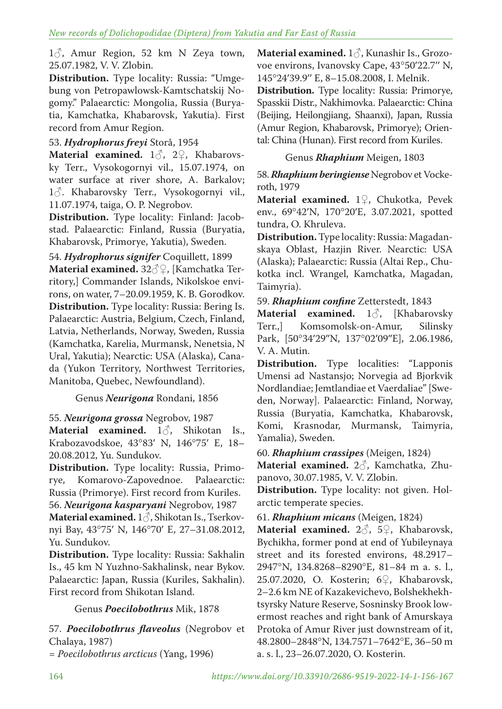$1\delta$ , Amur Region, 52 km N Zeya town, 25.07.1982, V. V. Zlobin.

**Distribution.** Type locality: Russia: "Umgebung von Petropawlowsk-Kamtschatskij Nogomy." Palaearctic: Mongolia, Russia (Buryatia, Kamchatka, Khabarovsk, Yakutia). First record from Amur Region.

### 53. *Hydrophorus freyi* Storå, 1954

**Material examined.** 1♂, 2♀, Khabarovsky Terr., Vysokogornyi vil., 15.07.1974, on water surface at river shore, A. Barkalov; 1 $\circ$ . Khabarovsky Terr., Vysokogornyi vil., 11.07.1974, taiga, O. P. Negrobov.

**Distribution.** Type locality: Finland: Jacobstad. Palaearctic: Finland, Russia (Buryatia, Khabarovsk, Primorye, Yakutia), Sweden.

54. *Hydrophorus signifer* Coquillett, 1899 **Material examined.** 32♂♀, [Kamchatka Territory,] Commander Islands, Nikolskoe environs, on water, 7–20.09.1959, K. B. Gorodkov. **Distribution.** Type locality: Russia: Bering Is. Palaearctic: Austria, Belgium, Czech, Finland, Latvia, Netherlands, Norway, Sweden, Russia (Kamchatka, Karelia, Murmansk, Nenetsia, N Ural, Yakutia); Nearctic: USA (Alaska), Canada (Yukon Territory, Northwest Territories, Manitoba, Quebec, Newfoundland).

# Genus *Neurigona* Rondani, 1856

55. *Neurigona grossa* Negrobov, 1987

**Material examined.** 1♂, Shikotan Is., Krabozavodskoe, 43°83′ N, 146°75′ E, 18– 20.08.2012, Yu. Sundukov.

**Distribution.** Type locality: Russia, Primorye, Komarovo-Zapovednoe. Palaearctic: Russia (Primorye). First record from Kuriles.

56. *Neurigona kasparyani* Negrobov, 1987

**Material examined.** 1♂, Shikotan Is., Tserkovnyi Bay, 43°75′ N, 146°70′ E, 27–31.08.2012, Yu. Sundukov.

**Distribution.** Type locality: Russia: Sakhalin Is., 45 km N Yuzhno-Sakhalinsk, near Bykov. Palaearctic: Japan, Russia (Kuriles, Sakhalin). First record from Shikotan Island.

#### Genus *Poecilobothrus* Mik, 1878

57. *Poecilobothrus flaveolus* (Negrobov et Chalaya, 1987)

*= Poecilobothrus arcticus* (Yang, 1996)

**Material examined.** 1♂, Kunashir Is., Grozovoe environs, Ivanovsky Cape, 43°50′22.7′′ N, 145°24′39.9′′ E, 8–15.08.2008, I. Melnik. **Distribution.** Type locality: Russia: Primorye, Spasskii Distr., Nakhimovka. Palaearctic: China (Beijing, Heilongjiang, Shaanxi), Japan, Russia (Amur Region, Khabarovsk, Primorye); Oriental: China (Hunan). First record from Kuriles.

### Genus *Rhaphium* Meigen, 1803

58.*Rhaphium beringiense* Negrobov et Vockeroth, 1979

**Material examined.** 1♀, Chukotka, Pevek env., 69°42′N, 170°20′E, 3.07.2021, spotted tundra, O. Khruleva.

**Distribution.** Type locality: Russia: Magadanskaya Oblast, Hazjin River. Nearctic: USA (Alaska); Palaearctic: Russia (Altai Rep., Chukotka incl. Wrangel, Kamchatka, Magadan, Taimyria).

59. *Rhaphium confine* Zetterstedt, 1843

**Material examined.** 13, [Khabarovsky Terr.,] Komsomolsk-on-Amur, Silinsky Park, [50°34′29″N, 137°02′09″E], 2.06.1986, V. A. Mutin.

**Distribution.** Type localities: "Lapponis Umensi ad Nastansjo; Norvegia ad Bjorkvik Nordlandiae; Jemtlandiae et Vaerdaliae" [Sweden, Norway]. Palaearctic: Finland, Norway, Russia (Buryatia, Kamchatka, Khabarovsk, Komi, Krasnodar, Murmansk, Taimyria, Yamalia), Sweden.

60. *Rhaphium crassipes* (Meigen, 1824)

**Material examined.** 2♂, Kamchatka, Zhupanovo, 30.07.1985, V. V. Zlobin.

**Distribution.** Type locality: not given. Holarctic temperate species.

61. *Rhaphium micans* (Meigen, 1824)

**Material examined.** 2♂, 5♀, Khabarovsk, Bychikha, former pond at end of Yubileynaya street and its forested environs, 48.2917– 2947°N, 134.8268–8290°E, 81–84 m a. s. l., 25.07.2020, O. Kosterin; 6♀, Khabarovsk, 2–2.6 km NE of Kazakevichevo, Bolshekhekhtsyrsky Nature Reserve, Sosninsky Brook lowermost reaches and right bank of Amurskaya Protoka of Amur River just downstream of it, 48.2800–2848°N, 134.7571–7642°E, 36–50 m a. s. l., 23–26.07.2020, O. Kosterin.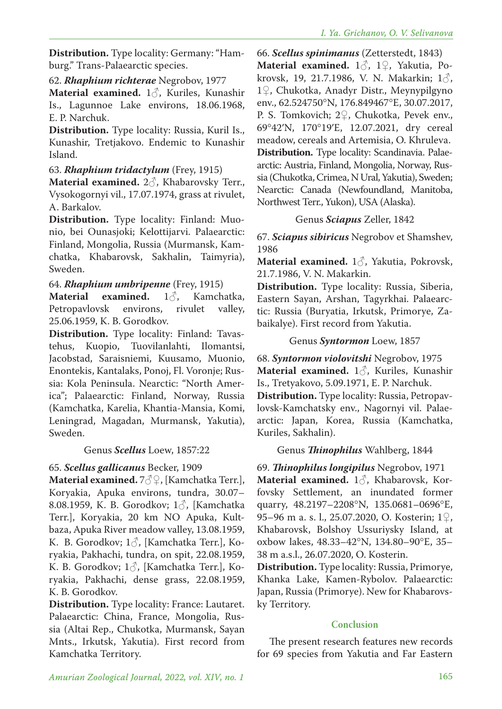**Distribution.** Type locality: Germany: "Hamburg." Trans-Palaearctic species.

## 62. *Rhaphium richterae* Negrobov, 1977

**Material examined.** 1♂, Kuriles, Kunashir Is., Lagunnoe Lake environs, 18.06.1968, E. P. Narchuk.

**Distribution.** Type locality: Russia, Kuril Is., Kunashir, Tretjakovo. Endemic to Kunashir Island.

### 63. *Rhaphium tridactylum* (Frey, 1915)

**Material examined.** 2♂, Khabarovsky Terr., Vysokogornyi vil., 17.07.1974, grass at rivulet, A. Barkalov.

**Distribution.** Type locality: Finland: Muonio, bei Ounasjoki; Kelottijarvi. Palaearctic: Finland, Mongolia, Russia (Murmansk, Kamchatka, Khabarovsk, Sakhalin, Taimyria), Sweden.

### 64. *Rhaphium umbripenne* (Frey, 1915)

**Material examined.** 1♂, Kamchatka, Petropavlovsk environs, rivulet valley, 25.06.1959, K. B. Gorodkov.

**Distribution.** Type locality: Finland: Tavastehus, Kuopio, Tuovilanlahti, Ilomantsi, Jacobstad, Saraisniemi, Kuusamo, Muonio, Enontekis, Kantalaks, Ponoj, Fl. Voronje; Russia: Kola Peninsula. Nearctic: "North America"; Palaearctic: Finland, Norway, Russia (Kamchatka, Karelia, Khantia-Mansia, Komi, Leningrad, Magadan, Murmansk, Yakutia), Sweden.

#### Genus *Scellus* Loew, 1857:22

# 65. *Scellus gallicanus* Becker, 1909

**Material examined.** 7♂♀, [Kamchatka Terr.], Koryakia, Apuka environs, tundra, 30.07– 8.08.1959, K. B. Gorodkov;  $1\delta$ , [Kamchatka] Terr.], Koryakia, 20 km NO Apuka, Kultbaza, Apuka River meadow valley, 13.08.1959, K. B. Gorodkov; 1♂, [Kamchatka Terr.], Koryakia, Pakhachi, tundra, on spit, 22.08.1959, K. B. Gorodkov; 1♂, [Kamchatka Terr.], Koryakia, Pakhachi, dense grass, 22.08.1959, K. B. Gorodkov.

**Distribution.** Type locality: France: Lautaret. Palaearctic: China, France, Mongolia, Russia (Altai Rep., Chukotka, Murmansk, Sayan Mnts., Irkutsk, Yakutia). First record from Kamchatka Territory.

66. *Scellus spinimanus* (Zetterstedt, 1843) **Material examined.** 1♂, 1♀, Yakutia, Pokrovsk, 19, 21.7.1986, V. N. Makarkin;  $1\delta$ , 1♀, Chukotka, Anadyr Distr., Meynypilgyno env., 62.524750°N, 176.849467°E, 30.07.2017, P. S. Tomkovich; 2♀, Chukotka, Pevek env., 69°42′N, 170°19′E, 12.07.2021, dry cereal meadow, cereals and Artemisia, O. Khruleva. **Distribution.** Type locality: Scandinavia. Palaearctic: Austria, Finland, Mongolia, Norway, Russia (Chukotka, Crimea, N Ural, Yakutia), Sweden; Nearctic: Canada (Newfoundland, Manitoba, Northwest Terr., Yukon), USA (Alaska).

### Genus *Sciapus* Zeller, 1842

67. *Sciapus sibiricus* Negrobov et Shamshev, 1986

**Material examined.** 1♂, Yakutia, Pokrovsk, 21.7.1986, V. N. Makarkin.

**Distribution.** Type locality: Russia, Siberia, Eastern Sayan, Arshan, Tagyrkhai. Palaearctic: Russia (Buryatia, Irkutsk, Primorye, Zabaikalye). First record from Yakutia.

### Genus *Syntormon* Loew, 1857

68. *Syntormon violovitshi* Negrobov, 1975 **Material examined.** 1♂, Kuriles, Kunashir Is., Tretyakovo, 5.09.1971, E. P. Narchuk. **Distribution.** Type locality: Russia, Petropavlovsk-Kamchatsky env., Nagornyi vil. Palaearctic: Japan, Korea, Russia (Kamchatka, Kuriles, Sakhalin).

# Genus *Thinophilus* Wahlberg, 1844

69. *Thinophilus longipilus* Negrobov, 1971 **Material examined.** 1♂, Khabarovsk, Korfovsky Settlement, an inundated former quarry, 48.2197–2208°N, 135.0681–0696°E, 95–96 m a. s. l., 25.07.2020, O. Kosterin; 1♀, Khabarovsk, Bolshoy Ussuriysky Island, at oxbow lakes, 48.33–42°N, 134.80–90°E, 35– 38 m a.s.l., 26.07.2020, O. Kosterin.

**Distribution.** Type locality: Russia, Primorye, Khanka Lake, Kamen-Rybolov. Palaearctic: Japan, Russia (Primorye). New for Khabarovsky Territory.

#### **Conclusion**

The present research features new records for 69 species from Yakutia and Far Eastern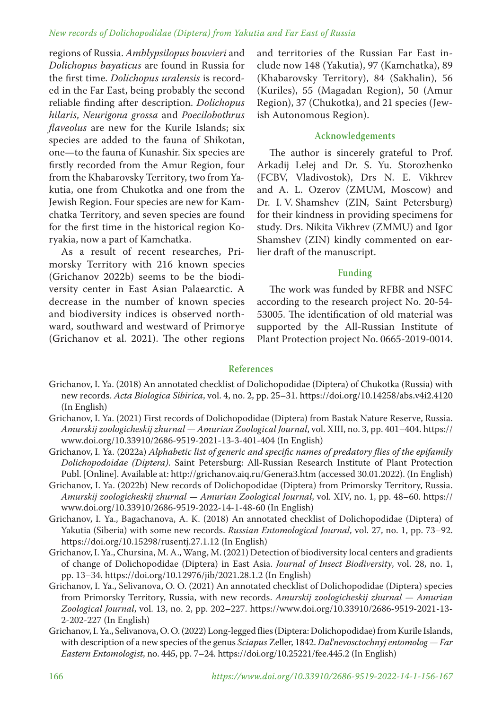#### *New records of Dolichopodidae (Diptera) from Yakutia and Far East of Russia*

regions of Russia. *Amblypsilopus bouvieri* and *Dolichopus bayaticus* are found in Russia for the first time. *Dolichopus uralensis* is recorded in the Far East, being probably the second reliable finding after description. *Dolichopus hilaris*, *Neurigona grossa* and *Poecilobothrus flaveolus* are new for the Kurile Islands; six species are added to the fauna of Shikotan, one—to the fauna of Kunashir. Six species are firstly recorded from the Amur Region, four from the Khabarovsky Territory, two from Yakutia, one from Chukotka and one from the Jewish Region. Four species are new for Kamchatka Territory, and seven species are found for the first time in the historical region Koryakia, now a part of Kamchatka.

As a result of recent researches, Primorsky Territory with 216 known species (Grichanov 2022b) seems to be the biodiversity center in East Asian Palaearctic. A decrease in the number of known species and biodiversity indices is observed northward, southward and westward of Primorye (Grichanov et al. 2021). The other regions

and territories of the Russian Far East include now 148 (Yakutia), 97 (Kamchatka), 89 (Khabarovsky Territory), 84 (Sakhalin), 56 (Kuriles), 55 (Magadan Region), 50 (Amur Region), 37 (Chukotka), and 21 species (Jewish Autonomous Region).

#### **Acknowledgements**

The author is sincerely grateful to Prof. Arkadij Lelej and Dr. S. Yu. Storozhenko (FCBV, Vladivostok), Drs N. E. Vikhrev and A. L. Ozerov (ZMUM, Moscow) and Dr. I. V. Shamshev (ZIN, Saint Petersburg) for their kindness in providing specimens for study. Drs. Nikita Vikhrev (ZMMU) and Igor Shamshev (ZIN) kindly commented on earlier draft of the manuscript.

#### **Funding**

The work was funded by RFBR and NSFC according to the research project No. 20-54- 53005. The identification of old material was supported by the All-Russian Institute of Plant Protection project No. 0665-2019-0014.

#### **References**

- Grichanov, I. Ya. (2018) An annotated checklist of Dolichopodidae (Diptera) of Chukotka (Russia) with new records. *Acta Biologica Sibirica*, vol. 4, no. 2, pp. 25–31. https://doi.org/10.14258/abs.v4i2.4120 (In English)
- Grichanov, I. Ya. (2021) First records of Dolichopodidae (Diptera) from Bastak Nature Reserve, Russia. *Amurskij zoologicheskij zhurnal — Amurian Zoological Journal*, vol. XIII, no. 3, pp. 401–404. https:// www.doi.org/10.33910/2686-9519-2021-13-3-401-404 (In English)
- Grichanov, I. Ya. (2022a) *Alphabetic list of generic and specific names of predatory flies of the epifamily Dolichopodoidae (Diptera)*. Saint Petersburg: All-Russian Research Institute of Plant Protection Publ. [Online]. Available at: http://grichanov.aiq.ru/Genera3.htm (accessed 30.01.2022). (In English)
- Grichanov, I. Ya. (2022b) New records of Dolichopodidae (Diptera) from Primorsky Territory, Russia. *Amurskij zoologicheskij zhurnal — Amurian Zoological Journal*, vol. XIV, no. 1, pp. 48–60. https:// www.doi.org/10.33910/2686-9519-2022-14-1-48-60 (In English)
- Grichanov, I. Ya., Bagachanova, A. K. (2018) An annotated checklist of Dolichopodidae (Diptera) of Yakutia (Siberia) with some new records. *Russian Entomological Journal*, vol. 27, no. 1, pp. 73–92. https://doi.org/10.15298/rusentj.27.1.12 (In English)
- Grichanov, I. Ya., Chursina, M. A., Wang, M. (2021) Detection of biodiversity local centers and gradients of change of Dolichopodidae (Diptera) in East Asia. *Journal of Insect Biodiversity*, vol. 28, no. 1, pp. 13–34. https://doi.org/10.12976/jib/2021.28.1.2 (In English)
- Grichanov, I. Ya., Selivanova, O. O. (2021) An annotated checklist of Dolichopodidae (Diptera) species from Primorsky Territory, Russia, with new records. *Amurskij zoologicheskij zhurnal — Amurian Zoological Journal*, vol. 13, no. 2, pp. 202–227. https://www.doi.org/10.33910/2686-9519-2021-13- 2-202-227 (In English)
- Grichanov, I. Ya., Selivanova, O. O. (2022) Long-legged flies (Diptera: Dolichopodidae) from Kurile Islands, with description of a new species of the genus *Sciapus* Zeller, 1842. *Dal'nevosctochnyj entomolog — Far Eastern Entomologist*, no. 445, pp. 7–24. https://doi.org/10.25221/fee.445.2 (In English)